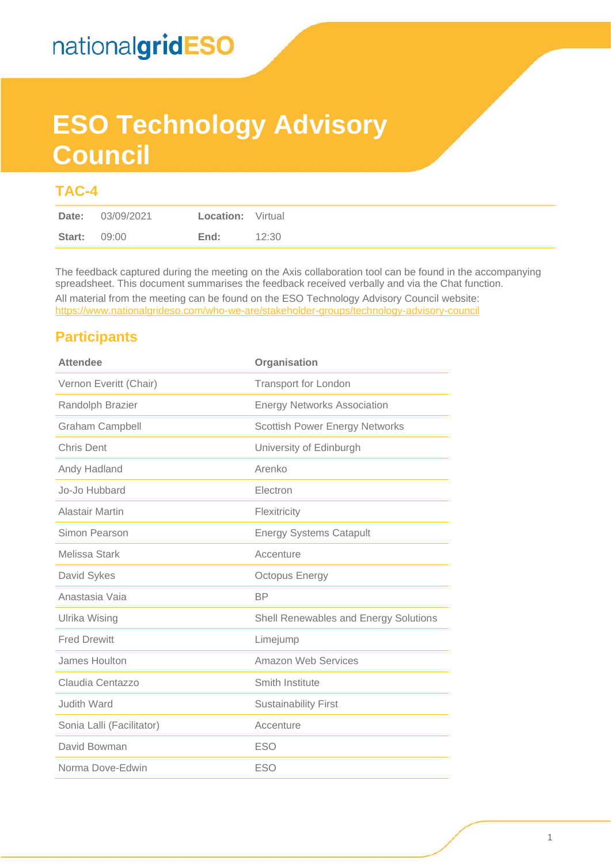# **ESO Technology Advisory Council**

### **TAC-4**

The feedback captured during the meeting on the Axis collaboration tool can be found in the accompanying spreadsheet. This document summarises the feedback received verbally and via the Chat function.

All material from the meeting can be found on the ESO Technology Advisory Council website: <https://www.nationalgrideso.com/who-we-are/stakeholder-groups/technology-advisory-council>

### **Participants**

| <b>Attendee</b>           | Organisation                          |
|---------------------------|---------------------------------------|
| Vernon Everitt (Chair)    | <b>Transport for London</b>           |
| Randolph Brazier          | <b>Energy Networks Association</b>    |
| <b>Graham Campbell</b>    | <b>Scottish Power Energy Networks</b> |
| <b>Chris Dent</b>         | University of Edinburgh               |
| Andy Hadland              | Arenko                                |
| Jo-Jo Hubbard             | Electron                              |
| <b>Alastair Martin</b>    | Flexitricity                          |
| Simon Pearson             | <b>Energy Systems Catapult</b>        |
| Melissa Stark             | Accenture                             |
| David Sykes               | <b>Octopus Energy</b>                 |
| Anastasia Vaja            | <b>BP</b>                             |
| <b>Ulrika Wising</b>      | Shell Renewables and Energy Solutions |
| <b>Fred Drewitt</b>       | Limejump                              |
| James Houlton             | <b>Amazon Web Services</b>            |
| Claudia Centazzo          | Smith Institute                       |
| <b>Judith Ward</b>        | <b>Sustainability First</b>           |
| Sonia Lalli (Facilitator) | Accenture                             |
| David Bowman              | <b>ESO</b>                            |
| Norma Dove-Edwin          | <b>ESO</b>                            |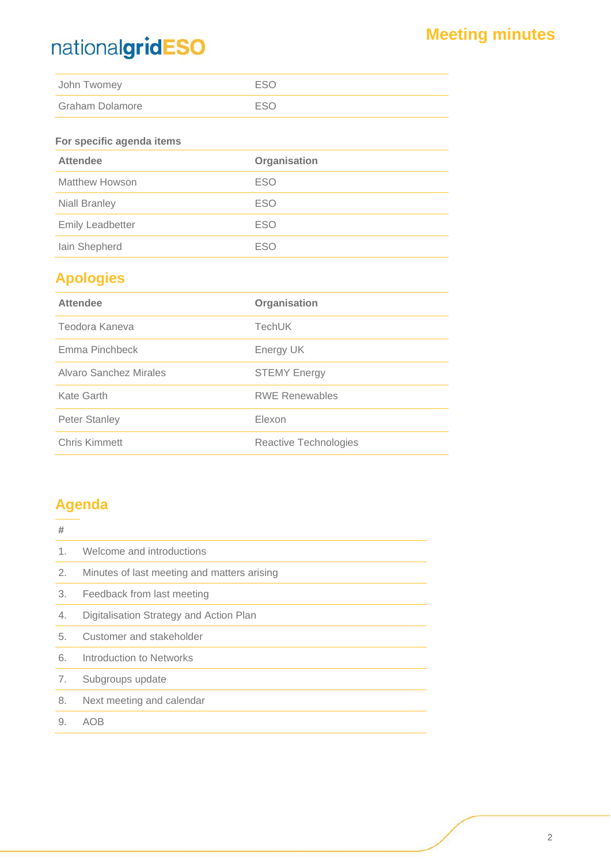## **Meeting minutes**

| John Twomey     | ESO        |
|-----------------|------------|
| Graham Dolamore | <b>FSO</b> |

### **For specific agenda items**

| <b>Attendee</b>         | Organisation |  |
|-------------------------|--------------|--|
| <b>Matthew Howson</b>   | <b>ESO</b>   |  |
| <b>Niall Branley</b>    | <b>ESO</b>   |  |
| <b>Emily Leadbetter</b> | <b>ESO</b>   |  |
| lain Shepherd           | <b>ESO</b>   |  |

### **Apologies**

| <b>Attendee</b>        | Organisation          |
|------------------------|-----------------------|
| Teodora Kaneva         | <b>TechUK</b>         |
| Emma Pinchbeck         | Energy UK             |
| Alvaro Sanchez Mirales | <b>STEMY Energy</b>   |
| Kate Garth             | <b>RWE Renewables</b> |
| <b>Peter Stanley</b>   | Elexon                |
| <b>Chris Kimmett</b>   | Reactive Technologies |

### **Agenda**

| #       |                                             |
|---------|---------------------------------------------|
| $1_{-}$ | Welcome and introductions                   |
| 2.      | Minutes of last meeting and matters arising |
| 3.      | Feedback from last meeting                  |
| 4.      | Digitalisation Strategy and Action Plan     |
| 5.      | Customer and stakeholder                    |
| 6.      | Introduction to Networks                    |
| 7.      | Subgroups update                            |
| 8.      | Next meeting and calendar                   |
| 9.      | AOB                                         |
|         |                                             |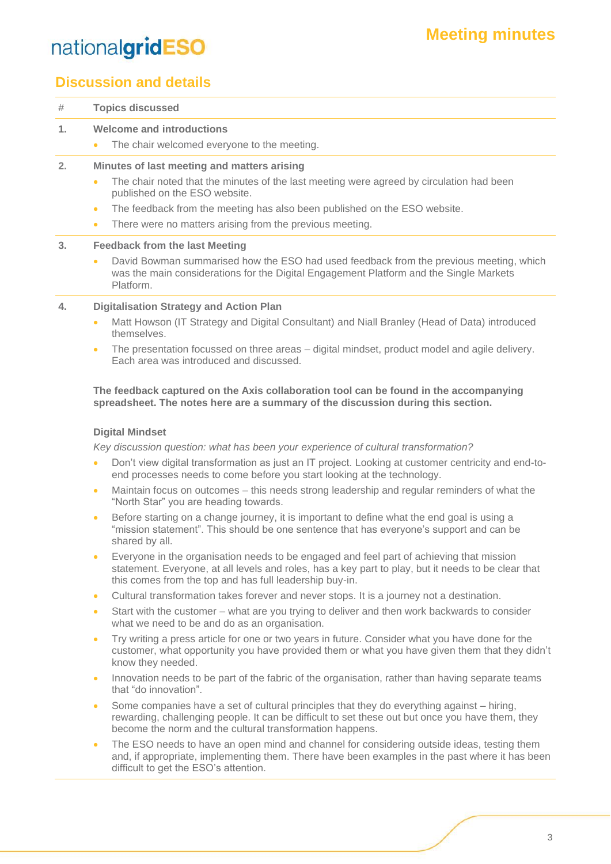### **Discussion and details**

| #  | <b>Topics discussed</b>                                                                                                                                                                                                                                                                                                                                                                                                                                                                                                                              |
|----|------------------------------------------------------------------------------------------------------------------------------------------------------------------------------------------------------------------------------------------------------------------------------------------------------------------------------------------------------------------------------------------------------------------------------------------------------------------------------------------------------------------------------------------------------|
| 1. | <b>Welcome and introductions</b><br>The chair welcomed everyone to the meeting.<br>$\bullet$                                                                                                                                                                                                                                                                                                                                                                                                                                                         |
| 2. | Minutes of last meeting and matters arising<br>The chair noted that the minutes of the last meeting were agreed by circulation had been<br>$\bullet$<br>published on the ESO website.<br>The feedback from the meeting has also been published on the ESO website.<br>$\bullet$<br>There were no matters arising from the previous meeting.<br>$\bullet$                                                                                                                                                                                             |
| 3. | <b>Feedback from the last Meeting</b><br>David Bowman summarised how the ESO had used feedback from the previous meeting, which<br>$\bullet$<br>was the main considerations for the Digital Engagement Platform and the Single Markets<br>Platform.                                                                                                                                                                                                                                                                                                  |
| 4. | <b>Digitalisation Strategy and Action Plan</b><br>Matt Howson (IT Strategy and Digital Consultant) and Niall Branley (Head of Data) introduced<br>$\bullet$<br>themselves.<br>The presentation focussed on three areas – digital mindset, product model and agile delivery.<br>$\bullet$<br>Each area was introduced and discussed.<br>The feedback captured on the Axis collaboration tool can be found in the accompanying                                                                                                                         |
|    | spreadsheet. The notes here are a summary of the discussion during this section.<br><b>Digital Mindset</b><br>Key discussion question: what has been your experience of cultural transformation?<br>Don't view digital transformation as just an IT project. Looking at customer centricity and end-to-<br>$\bullet$<br>end processes needs to come before you start looking at the technology.<br>Maintain focus on outcomes – this needs strong leadership and regular reminders of what the<br>$\bullet$<br>"North Star" you are heading towards. |
|    | Before starting on a change journey, it is important to define what the end goal is using a<br>$\bullet$                                                                                                                                                                                                                                                                                                                                                                                                                                             |

- "mission statement". This should be one sentence that has everyone's support and can be shared by all.
- Everyone in the organisation needs to be engaged and feel part of achieving that mission statement. Everyone, at all levels and roles, has a key part to play, but it needs to be clear that this comes from the top and has full leadership buy-in.
- Cultural transformation takes forever and never stops. It is a journey not a destination.
- Start with the customer what are you trying to deliver and then work backwards to consider what we need to be and do as an organisation.
- Try writing a press article for one or two years in future. Consider what you have done for the customer, what opportunity you have provided them or what you have given them that they didn't know they needed.
- Innovation needs to be part of the fabric of the organisation, rather than having separate teams that "do innovation".
- Some companies have a set of cultural principles that they do everything against hiring, rewarding, challenging people. It can be difficult to set these out but once you have them, they become the norm and the cultural transformation happens.
- The ESO needs to have an open mind and channel for considering outside ideas, testing them and, if appropriate, implementing them. There have been examples in the past where it has been difficult to get the ESO's attention.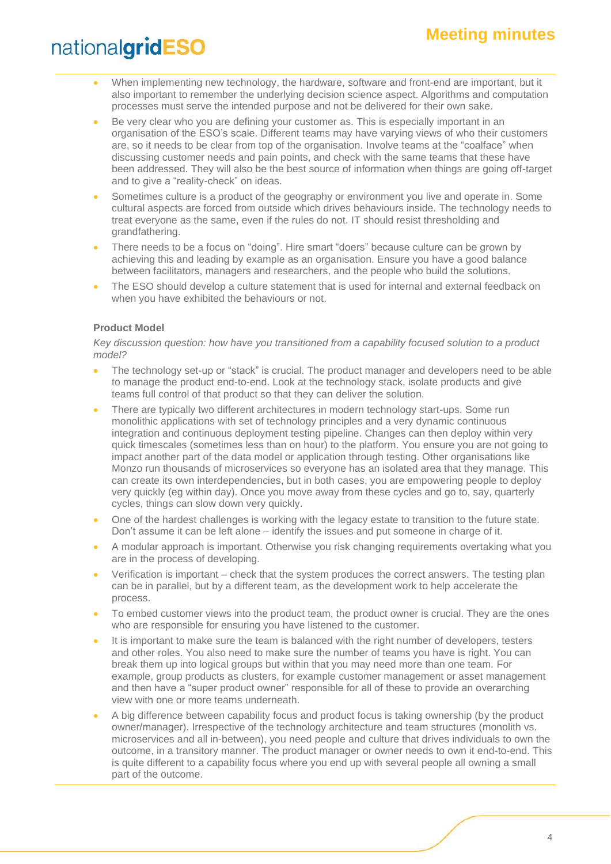- When implementing new technology, the hardware, software and front-end are important, but it also important to remember the underlying decision science aspect. Algorithms and computation processes must serve the intended purpose and not be delivered for their own sake.
- Be very clear who you are defining your customer as. This is especially important in an organisation of the ESO's scale. Different teams may have varying views of who their customers are, so it needs to be clear from top of the organisation. Involve teams at the "coalface" when discussing customer needs and pain points, and check with the same teams that these have been addressed. They will also be the best source of information when things are going off-target and to give a "reality-check" on ideas.
- Sometimes culture is a product of the geography or environment you live and operate in. Some cultural aspects are forced from outside which drives behaviours inside. The technology needs to treat everyone as the same, even if the rules do not. IT should resist thresholding and grandfathering.
- There needs to be a focus on "doing". Hire smart "doers" because culture can be grown by achieving this and leading by example as an organisation. Ensure you have a good balance between facilitators, managers and researchers, and the people who build the solutions.
- The ESO should develop a culture statement that is used for internal and external feedback on when you have exhibited the behaviours or not.

#### **Product Model**

#### *Key discussion question: how have you transitioned from a capability focused solution to a product model?*

- The technology set-up or "stack" is crucial. The product manager and developers need to be able to manage the product end-to-end. Look at the technology stack, isolate products and give teams full control of that product so that they can deliver the solution.
- There are typically two different architectures in modern technology start-ups. Some run monolithic applications with set of technology principles and a very dynamic continuous integration and continuous deployment testing pipeline. Changes can then deploy within very quick timescales (sometimes less than on hour) to the platform. You ensure you are not going to impact another part of the data model or application through testing. Other organisations like Monzo run thousands of microservices so everyone has an isolated area that they manage. This can create its own interdependencies, but in both cases, you are empowering people to deploy very quickly (eg within day). Once you move away from these cycles and go to, say, quarterly cycles, things can slow down very quickly.
- One of the hardest challenges is working with the legacy estate to transition to the future state. Don't assume it can be left alone – identify the issues and put someone in charge of it.
- A modular approach is important. Otherwise you risk changing requirements overtaking what you are in the process of developing.
- Verification is important check that the system produces the correct answers. The testing plan can be in parallel, but by a different team, as the development work to help accelerate the process.
- To embed customer views into the product team, the product owner is crucial. They are the ones who are responsible for ensuring you have listened to the customer.
- It is important to make sure the team is balanced with the right number of developers, testers and other roles. You also need to make sure the number of teams you have is right. You can break them up into logical groups but within that you may need more than one team. For example, group products as clusters, for example customer management or asset management and then have a "super product owner" responsible for all of these to provide an overarching view with one or more teams underneath.
- A big difference between capability focus and product focus is taking ownership (by the product owner/manager). Irrespective of the technology architecture and team structures (monolith vs. microservices and all in-between), you need people and culture that drives individuals to own the outcome, in a transitory manner. The product manager or owner needs to own it end-to-end. This is quite different to a capability focus where you end up with several people all owning a small part of the outcome.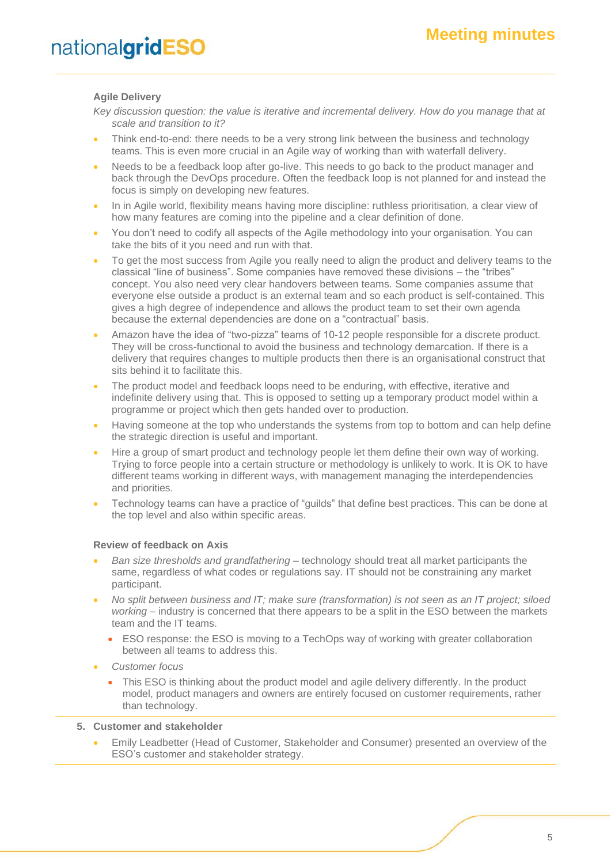#### **Agile Delivery**

*Key discussion question: the value is iterative and incremental delivery. How do you manage that at scale and transition to it?*

- Think end-to-end: there needs to be a very strong link between the business and technology teams. This is even more crucial in an Agile way of working than with waterfall delivery.
- Needs to be a feedback loop after go-live. This needs to go back to the product manager and back through the DevOps procedure. Often the feedback loop is not planned for and instead the focus is simply on developing new features.
- In in Agile world, flexibility means having more discipline: ruthless prioritisation, a clear view of how many features are coming into the pipeline and a clear definition of done.
- You don't need to codify all aspects of the Agile methodology into your organisation. You can take the bits of it you need and run with that.
- To get the most success from Agile you really need to align the product and delivery teams to the classical "line of business". Some companies have removed these divisions – the "tribes" concept. You also need very clear handovers between teams. Some companies assume that everyone else outside a product is an external team and so each product is self-contained. This gives a high degree of independence and allows the product team to set their own agenda because the external dependencies are done on a "contractual" basis.
- Amazon have the idea of "two-pizza" teams of 10-12 people responsible for a discrete product. They will be cross-functional to avoid the business and technology demarcation. If there is a delivery that requires changes to multiple products then there is an organisational construct that sits behind it to facilitate this.
- The product model and feedback loops need to be enduring, with effective, iterative and indefinite delivery using that. This is opposed to setting up a temporary product model within a programme or project which then gets handed over to production.
- Having someone at the top who understands the systems from top to bottom and can help define the strategic direction is useful and important.
- Hire a group of smart product and technology people let them define their own way of working. Trying to force people into a certain structure or methodology is unlikely to work. It is OK to have different teams working in different ways, with management managing the interdependencies and priorities.
- Technology teams can have a practice of "guilds" that define best practices. This can be done at the top level and also within specific areas.

#### **Review of feedback on Axis**

- *Ban size thresholds and grandfathering* technology should treat all market participants the same, regardless of what codes or regulations say. IT should not be constraining any market participant.
- *No split between business and IT; make sure (transformation) is not seen as an IT project; siloed working* – industry is concerned that there appears to be a split in the ESO between the markets team and the IT teams.
	- ESO response: the ESO is moving to a TechOps way of working with greater collaboration between all teams to address this.
- *Customer focus*
	- This ESO is thinking about the product model and agile delivery differently. In the product model, product managers and owners are entirely focused on customer requirements, rather than technology.

#### **5. Customer and stakeholder**

• Emily Leadbetter (Head of Customer, Stakeholder and Consumer) presented an overview of the ESO's customer and stakeholder strategy.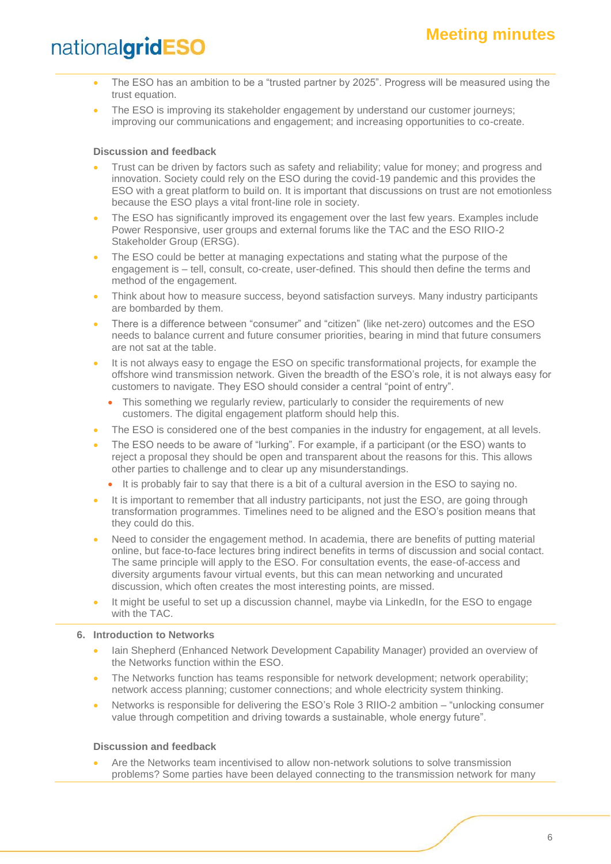- The ESO has an ambition to be a "trusted partner by 2025". Progress will be measured using the trust equation.
- The ESO is improving its stakeholder engagement by understand our customer journeys; improving our communications and engagement; and increasing opportunities to co-create.

#### **Discussion and feedback**

- Trust can be driven by factors such as safety and reliability; value for money; and progress and innovation. Society could rely on the ESO during the covid-19 pandemic and this provides the ESO with a great platform to build on. It is important that discussions on trust are not emotionless because the ESO plays a vital front-line role in society.
- The ESO has significantly improved its engagement over the last few years. Examples include Power Responsive, user groups and external forums like the TAC and the ESO RIIO-2 Stakeholder Group (ERSG).
- The ESO could be better at managing expectations and stating what the purpose of the engagement is – tell, consult, co-create, user-defined. This should then define the terms and method of the engagement.
- Think about how to measure success, beyond satisfaction surveys. Many industry participants are bombarded by them.
- There is a difference between "consumer" and "citizen" (like net-zero) outcomes and the ESO needs to balance current and future consumer priorities, bearing in mind that future consumers are not sat at the table.
- It is not always easy to engage the ESO on specific transformational projects, for example the offshore wind transmission network. Given the breadth of the ESO's role, it is not always easy for customers to navigate. They ESO should consider a central "point of entry".
	- This something we regularly review, particularly to consider the requirements of new customers. The digital engagement platform should help this.
- The ESO is considered one of the best companies in the industry for engagement, at all levels.
- The ESO needs to be aware of "lurking". For example, if a participant (or the ESO) wants to reject a proposal they should be open and transparent about the reasons for this. This allows other parties to challenge and to clear up any misunderstandings.
	- It is probably fair to say that there is a bit of a cultural aversion in the ESO to saying no.
- It is important to remember that all industry participants, not just the ESO, are going through transformation programmes. Timelines need to be aligned and the ESO's position means that they could do this.
- Need to consider the engagement method. In academia, there are benefits of putting material online, but face-to-face lectures bring indirect benefits in terms of discussion and social contact. The same principle will apply to the ESO. For consultation events, the ease-of-access and diversity arguments favour virtual events, but this can mean networking and uncurated discussion, which often creates the most interesting points, are missed.
- It might be useful to set up a discussion channel, maybe via LinkedIn, for the ESO to engage with the TAC.

#### **6. Introduction to Networks**

- Iain Shepherd (Enhanced Network Development Capability Manager) provided an overview of the Networks function within the ESO.
- The Networks function has teams responsible for network development; network operability; network access planning; customer connections; and whole electricity system thinking.
- Networks is responsible for delivering the ESO's Role 3 RIIO-2 ambition "unlocking consumer value through competition and driving towards a sustainable, whole energy future".

#### **Discussion and feedback**

• Are the Networks team incentivised to allow non-network solutions to solve transmission problems? Some parties have been delayed connecting to the transmission network for many